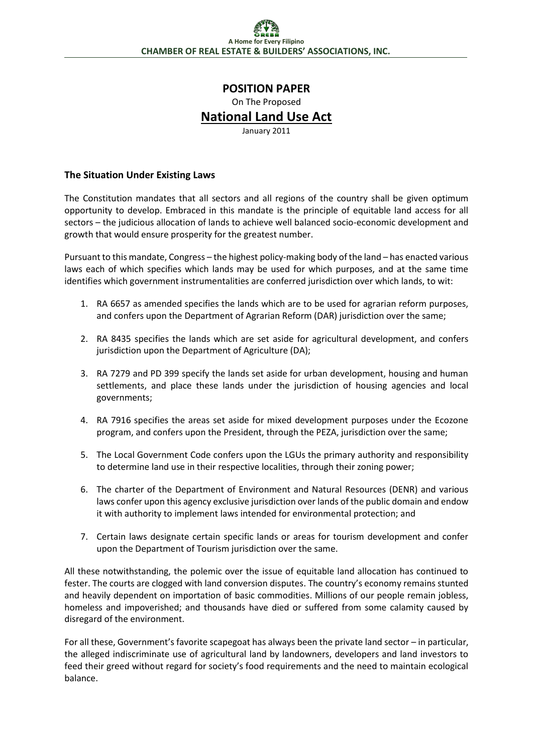# **POSITION PAPER**

On The Proposed

## **National Land Use Act**

January 2011

#### **The Situation Under Existing Laws**

The Constitution mandates that all sectors and all regions of the country shall be given optimum opportunity to develop. Embraced in this mandate is the principle of equitable land access for all sectors – the judicious allocation of lands to achieve well balanced socio-economic development and growth that would ensure prosperity for the greatest number.

Pursuant to this mandate, Congress – the highest policy-making body of the land – has enacted various laws each of which specifies which lands may be used for which purposes, and at the same time identifies which government instrumentalities are conferred jurisdiction over which lands, to wit:

- 1. RA 6657 as amended specifies the lands which are to be used for agrarian reform purposes, and confers upon the Department of Agrarian Reform (DAR) jurisdiction over the same;
- 2. RA 8435 specifies the lands which are set aside for agricultural development, and confers jurisdiction upon the Department of Agriculture (DA);
- 3. RA 7279 and PD 399 specify the lands set aside for urban development, housing and human settlements, and place these lands under the jurisdiction of housing agencies and local governments;
- 4. RA 7916 specifies the areas set aside for mixed development purposes under the Ecozone program, and confers upon the President, through the PEZA, jurisdiction over the same;
- 5. The Local Government Code confers upon the LGUs the primary authority and responsibility to determine land use in their respective localities, through their zoning power;
- 6. The charter of the Department of Environment and Natural Resources (DENR) and various laws confer upon this agency exclusive jurisdiction over lands of the public domain and endow it with authority to implement laws intended for environmental protection; and
- 7. Certain laws designate certain specific lands or areas for tourism development and confer upon the Department of Tourism jurisdiction over the same.

All these notwithstanding, the polemic over the issue of equitable land allocation has continued to fester. The courts are clogged with land conversion disputes. The country's economy remains stunted and heavily dependent on importation of basic commodities. Millions of our people remain jobless, homeless and impoverished; and thousands have died or suffered from some calamity caused by disregard of the environment.

For all these, Government's favorite scapegoat has always been the private land sector – in particular, the alleged indiscriminate use of agricultural land by landowners, developers and land investors to feed their greed without regard for society's food requirements and the need to maintain ecological balance.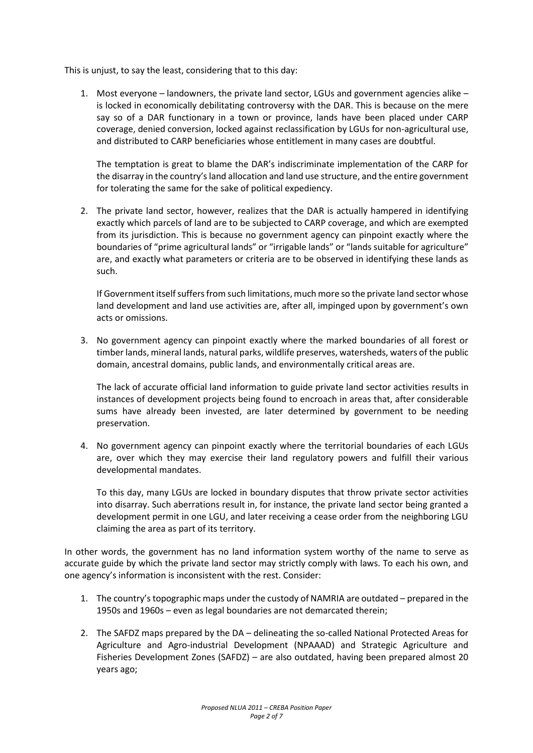This is unjust, to say the least, considering that to this day:

1. Most everyone – landowners, the private land sector, LGUs and government agencies alike – is locked in economically debilitating controversy with the DAR. This is because on the mere say so of a DAR functionary in a town or province, lands have been placed under CARP coverage, denied conversion, locked against reclassification by LGUs for non-agricultural use, and distributed to CARP beneficiaries whose entitlement in many cases are doubtful.

The temptation is great to blame the DAR's indiscriminate implementation of the CARP for the disarray in the country's land allocation and land use structure, and the entire government for tolerating the same for the sake of political expediency.

2. The private land sector, however, realizes that the DAR is actually hampered in identifying exactly which parcels of land are to be subjected to CARP coverage, and which are exempted from its jurisdiction. This is because no government agency can pinpoint exactly where the boundaries of "prime agricultural lands" or "irrigable lands" or "lands suitable for agriculture" are, and exactly what parameters or criteria are to be observed in identifying these lands as such.

If Government itself suffers from such limitations, much more so the private land sector whose land development and land use activities are, after all, impinged upon by government's own acts or omissions.

3. No government agency can pinpoint exactly where the marked boundaries of all forest or timber lands, mineral lands, natural parks, wildlife preserves, watersheds, waters of the public domain, ancestral domains, public lands, and environmentally critical areas are.

The lack of accurate official land information to guide private land sector activities results in instances of development projects being found to encroach in areas that, after considerable sums have already been invested, are later determined by government to be needing preservation.

4. No government agency can pinpoint exactly where the territorial boundaries of each LGUs are, over which they may exercise their land regulatory powers and fulfill their various developmental mandates.

To this day, many LGUs are locked in boundary disputes that throw private sector activities into disarray. Such aberrations result in, for instance, the private land sector being granted a development permit in one LGU, and later receiving a cease order from the neighboring LGU claiming the area as part of its territory.

In other words, the government has no land information system worthy of the name to serve as accurate guide by which the private land sector may strictly comply with laws. To each his own, and one agency's information is inconsistent with the rest. Consider:

- 1. The country's topographic maps under the custody of NAMRIA are outdated prepared in the 1950s and 1960s – even as legal boundaries are not demarcated therein;
- 2. The SAFDZ maps prepared by the DA delineating the so-called National Protected Areas for Agriculture and Agro-industrial Development (NPAAAD) and Strategic Agriculture and Fisheries Development Zones (SAFDZ) – are also outdated, having been prepared almost 20 years ago;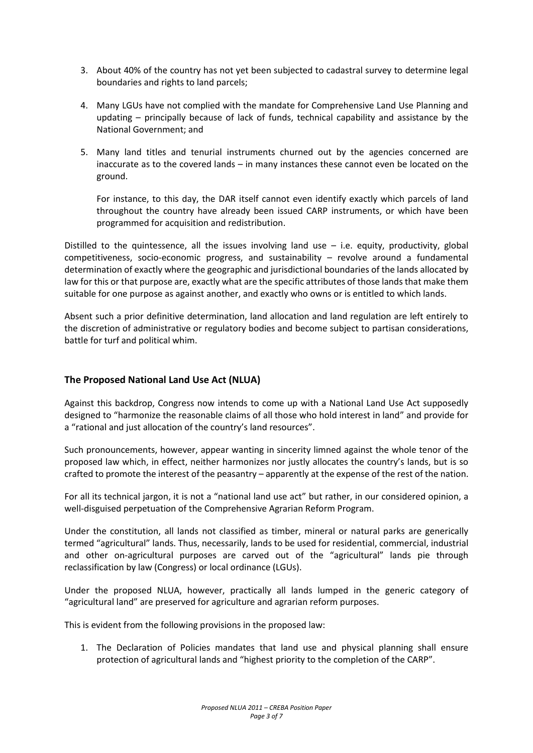- 3. About 40% of the country has not yet been subjected to cadastral survey to determine legal boundaries and rights to land parcels;
- 4. Many LGUs have not complied with the mandate for Comprehensive Land Use Planning and updating – principally because of lack of funds, technical capability and assistance by the National Government; and
- 5. Many land titles and tenurial instruments churned out by the agencies concerned are inaccurate as to the covered lands – in many instances these cannot even be located on the ground.

For instance, to this day, the DAR itself cannot even identify exactly which parcels of land throughout the country have already been issued CARP instruments, or which have been programmed for acquisition and redistribution.

Distilled to the quintessence, all the issues involving land use  $-$  i.e. equity, productivity, global competitiveness, socio-economic progress, and sustainability – revolve around a fundamental determination of exactly where the geographic and jurisdictional boundaries of the lands allocated by law for this or that purpose are, exactly what are the specific attributes of those lands that make them suitable for one purpose as against another, and exactly who owns or is entitled to which lands.

Absent such a prior definitive determination, land allocation and land regulation are left entirely to the discretion of administrative or regulatory bodies and become subject to partisan considerations, battle for turf and political whim.

### **The Proposed National Land Use Act (NLUA)**

Against this backdrop, Congress now intends to come up with a National Land Use Act supposedly designed to "harmonize the reasonable claims of all those who hold interest in land" and provide for a "rational and just allocation of the country's land resources".

Such pronouncements, however, appear wanting in sincerity limned against the whole tenor of the proposed law which, in effect, neither harmonizes nor justly allocates the country's lands, but is so crafted to promote the interest of the peasantry – apparently at the expense of the rest of the nation.

For all its technical jargon, it is not a "national land use act" but rather, in our considered opinion, a well-disguised perpetuation of the Comprehensive Agrarian Reform Program.

Under the constitution, all lands not classified as timber, mineral or natural parks are generically termed "agricultural" lands. Thus, necessarily, lands to be used for residential, commercial, industrial and other on-agricultural purposes are carved out of the "agricultural" lands pie through reclassification by law (Congress) or local ordinance (LGUs).

Under the proposed NLUA, however, practically all lands lumped in the generic category of "agricultural land" are preserved for agriculture and agrarian reform purposes.

This is evident from the following provisions in the proposed law:

1. The Declaration of Policies mandates that land use and physical planning shall ensure protection of agricultural lands and "highest priority to the completion of the CARP".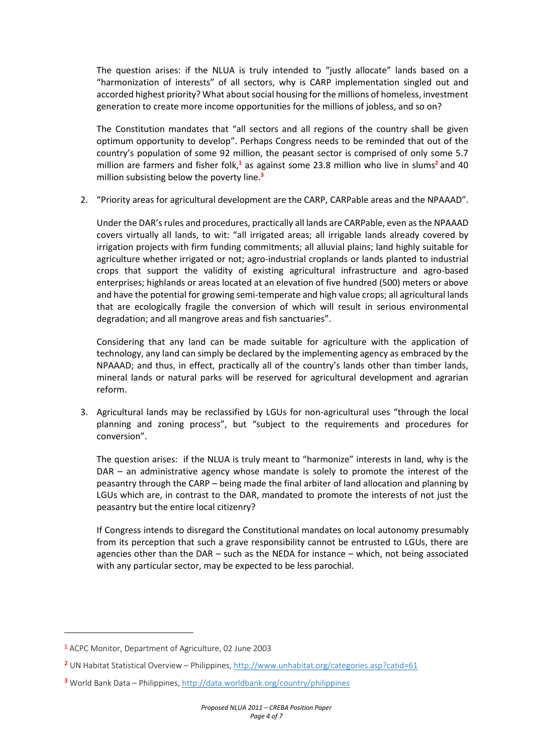The question arises: if the NLUA is truly intended to "justly allocate" lands based on a "harmonization of interests" of all sectors, why is CARP implementation singled out and accorded highest priority? What about social housing for the millions of homeless, investment generation to create more income opportunities for the millions of jobless, and so on?

The Constitution mandates that "all sectors and all regions of the country shall be given optimum opportunity to develop". Perhaps Congress needs to be reminded that out of the country's population of some 92 million, the peasant sector is comprised of only some 5.7 million are farmers and fisher folk,**<sup>1</sup>** as against some 23.8 million who live in slums**<sup>2</sup>** and 40 million subsisting below the poverty line.**<sup>3</sup>**

2. "Priority areas for agricultural development are the CARP, CARPable areas and the NPAAAD".

Under the DAR's rules and procedures, practically all lands are CARPable, even as the NPAAAD covers virtually all lands, to wit: "all irrigated areas; all irrigable lands already covered by irrigation projects with firm funding commitments; all alluvial plains; land highly suitable for agriculture whether irrigated or not; agro-industrial croplands or lands planted to industrial crops that support the validity of existing agricultural infrastructure and agro-based enterprises; highlands or areas located at an elevation of five hundred (500) meters or above and have the potential for growing semi-temperate and high value crops; all agricultural lands that are ecologically fragile the conversion of which will result in serious environmental degradation; and all mangrove areas and fish sanctuaries".

Considering that any land can be made suitable for agriculture with the application of technology, any land can simply be declared by the implementing agency as embraced by the NPAAAD; and thus, in effect, practically all of the country's lands other than timber lands, mineral lands or natural parks will be reserved for agricultural development and agrarian reform.

3. Agricultural lands may be reclassified by LGUs for non-agricultural uses "through the local planning and zoning process", but "subject to the requirements and procedures for conversion".

The question arises: if the NLUA is truly meant to "harmonize" interests in land, why is the DAR – an administrative agency whose mandate is solely to promote the interest of the peasantry through the CARP – being made the final arbiter of land allocation and planning by LGUs which are, in contrast to the DAR, mandated to promote the interests of not just the peasantry but the entire local citizenry?

If Congress intends to disregard the Constitutional mandates on local autonomy presumably from its perception that such a grave responsibility cannot be entrusted to LGUs, there are agencies other than the DAR – such as the NEDA for instance – which, not being associated with any particular sector, may be expected to be less parochial.

1

<sup>1</sup> ACPC Monitor, Department of Agriculture, 02 June 2003

<sup>&</sup>lt;sup>2</sup> UN Habitat Statistical Overview – Philippines,<http://www.unhabitat.org/categories.asp?catid=61>

<sup>3</sup> World Bank Data – Philippines[, http://data.worldbank.org/country/philippines](http://data.worldbank.org/country/philippines)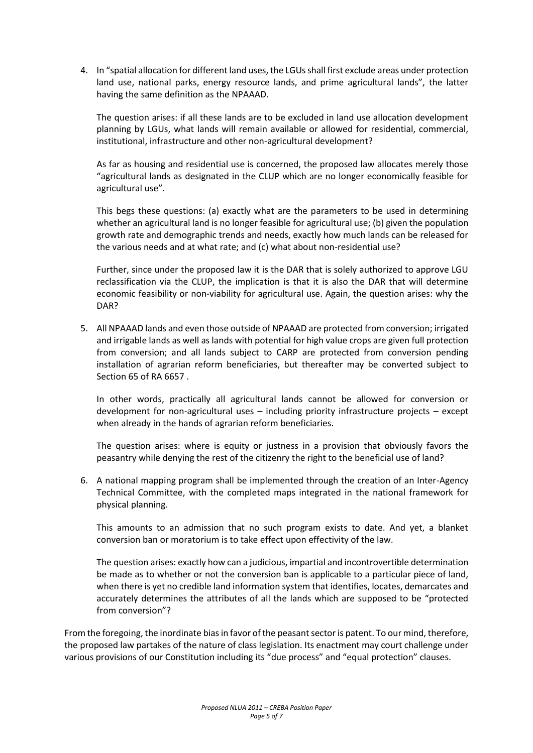4. In "spatial allocation for different land uses, the LGUs shall first exclude areas under protection land use, national parks, energy resource lands, and prime agricultural lands", the latter having the same definition as the NPAAAD.

The question arises: if all these lands are to be excluded in land use allocation development planning by LGUs, what lands will remain available or allowed for residential, commercial, institutional, infrastructure and other non-agricultural development?

As far as housing and residential use is concerned, the proposed law allocates merely those "agricultural lands as designated in the CLUP which are no longer economically feasible for agricultural use".

This begs these questions: (a) exactly what are the parameters to be used in determining whether an agricultural land is no longer feasible for agricultural use; (b) given the population growth rate and demographic trends and needs, exactly how much lands can be released for the various needs and at what rate; and (c) what about non-residential use?

Further, since under the proposed law it is the DAR that is solely authorized to approve LGU reclassification via the CLUP, the implication is that it is also the DAR that will determine economic feasibility or non-viability for agricultural use. Again, the question arises: why the DAR?

5. All NPAAAD lands and even those outside of NPAAAD are protected from conversion; irrigated and irrigable lands as well as lands with potential for high value crops are given full protection from conversion; and all lands subject to CARP are protected from conversion pending installation of agrarian reform beneficiaries, but thereafter may be converted subject to Section 65 of RA 6657 .

In other words, practically all agricultural lands cannot be allowed for conversion or development for non-agricultural uses – including priority infrastructure projects – except when already in the hands of agrarian reform beneficiaries.

The question arises: where is equity or justness in a provision that obviously favors the peasantry while denying the rest of the citizenry the right to the beneficial use of land?

6. A national mapping program shall be implemented through the creation of an Inter-Agency Technical Committee, with the completed maps integrated in the national framework for physical planning.

This amounts to an admission that no such program exists to date. And yet, a blanket conversion ban or moratorium is to take effect upon effectivity of the law.

The question arises: exactly how can a judicious, impartial and incontrovertible determination be made as to whether or not the conversion ban is applicable to a particular piece of land, when there is yet no credible land information system that identifies, locates, demarcates and accurately determines the attributes of all the lands which are supposed to be "protected from conversion"?

From the foregoing, the inordinate bias in favor of the peasant sector is patent. To our mind, therefore, the proposed law partakes of the nature of class legislation. Its enactment may court challenge under various provisions of our Constitution including its "due process" and "equal protection" clauses.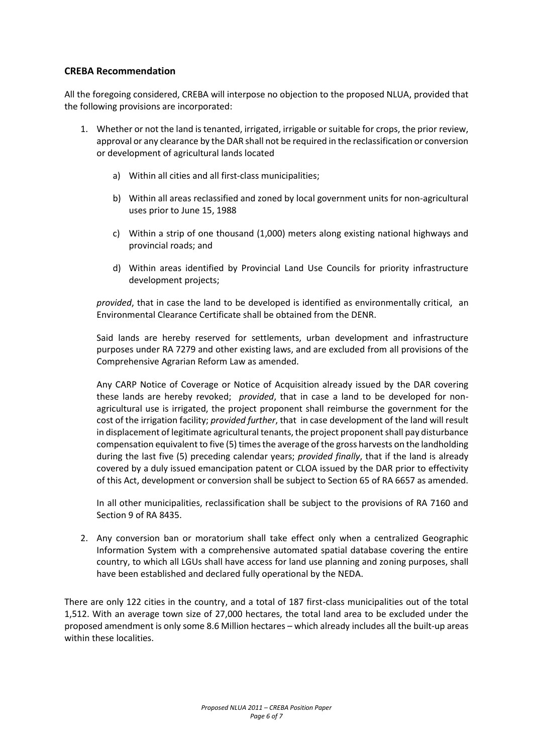#### **CREBA Recommendation**

All the foregoing considered, CREBA will interpose no objection to the proposed NLUA, provided that the following provisions are incorporated:

- 1. Whether or not the land is tenanted, irrigated, irrigable or suitable for crops, the prior review, approval or any clearance by the DAR shall not be required in the reclassification or conversion or development of agricultural lands located
	- a) Within all cities and all first-class municipalities;
	- b) Within all areas reclassified and zoned by local government units for non-agricultural uses prior to June 15, 1988
	- c) Within a strip of one thousand (1,000) meters along existing national highways and provincial roads; and
	- d) Within areas identified by Provincial Land Use Councils for priority infrastructure development projects;

*provided*, that in case the land to be developed is identified as environmentally critical, an Environmental Clearance Certificate shall be obtained from the DENR.

Said lands are hereby reserved for settlements, urban development and infrastructure purposes under RA 7279 and other existing laws, and are excluded from all provisions of the Comprehensive Agrarian Reform Law as amended.

Any CARP Notice of Coverage or Notice of Acquisition already issued by the DAR covering these lands are hereby revoked; *provided*, that in case a land to be developed for nonagricultural use is irrigated, the project proponent shall reimburse the government for the cost of the irrigation facility; *provided further*, that in case development of the land will result in displacement of legitimate agricultural tenants, the project proponent shall pay disturbance compensation equivalent to five (5) times the average of the gross harvests on the landholding during the last five (5) preceding calendar years; *provided finally*, that if the land is already covered by a duly issued emancipation patent or CLOA issued by the DAR prior to effectivity of this Act, development or conversion shall be subject to Section 65 of RA 6657 as amended.

In all other municipalities, reclassification shall be subject to the provisions of RA 7160 and Section 9 of RA 8435.

2. Any conversion ban or moratorium shall take effect only when a centralized Geographic Information System with a comprehensive automated spatial database covering the entire country, to which all LGUs shall have access for land use planning and zoning purposes, shall have been established and declared fully operational by the NEDA.

There are only 122 cities in the country, and a total of 187 first-class municipalities out of the total 1,512. With an average town size of 27,000 hectares, the total land area to be excluded under the proposed amendment is only some 8.6 Million hectares – which already includes all the built-up areas within these localities.